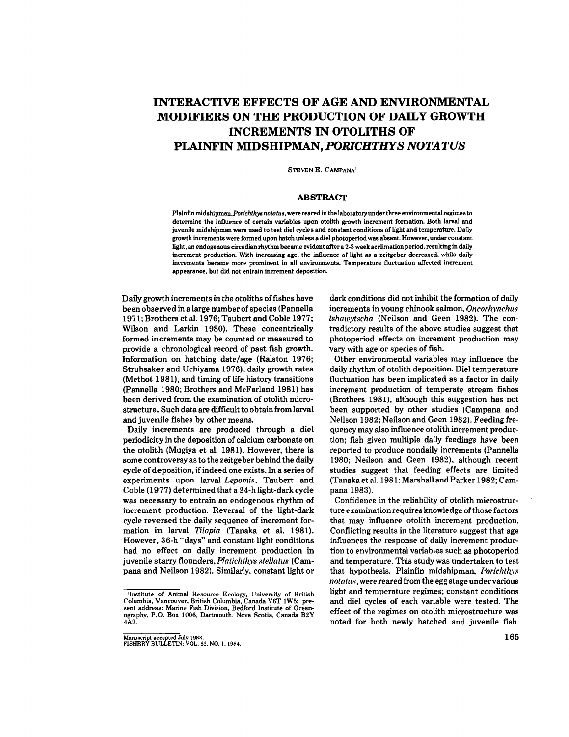## **INTERACTIVE EFFECTS OF AGE AND ENVIRONMENTAL MODIFIERS ON THE PRODUCTION OF DAILY GROWTH INCREMENTS IN OTOLITHS OF PLAINFIN MIDSHIPMAN,** *PORICHTHYS NOTATUS*

STEVEN E. CAMPANA'

#### **ABSTRACT**

Plainfin midshipman. Porichthys notatus, were reared in the laboratory under three environmental regimes to determine the influence of certain variables upon otolith growth increment formation. Both larval and juvenile midshipman were used to test diel cycles and constant conditions of light and temperature. Daily growth increments were formed upon hatch unless a diel photoperiod was absent. However, under constant light, an endogenous circadian rhythm became evident after a 2-3 week acclimation period, resulting in daily increment production. With increasing age. the influence of light as a zeitgeber decreased, while daily increments became more prominent in all environments. Temperature fluctuation affected increment appearance, but did not entrain increment deposition.

Daily growth increments in the otoliths of fishes have been observed in a large number of species (Pannella 1971;BrothersetaI.1976;TaubertandCoble 1977; Wilson and Larkin 1980). These concentrically formed increments may be counted or measured to provide a chronological record of past fish growth. Information on hatching date/age (Ralston 1976; Struhsaker and Uchiyama 1976), daily growth rates  $(Methot 1981)$ , and timing of life history transitions (Pannella 1980; Brothers and McFarland 1981) has been derived from the examination of otolith microstructure. Such data are difficult to obtain from larval and juvenile fishes by other means.

Daily increments are produced through a diel periodicity in *the* deposition of calcium carbonate on the otolith (Mugiya et aI. 1981). However. there is some controversy as to the zeitgeber behind the daily cycle of deposition, ifindeed one exists. In a series of experiments upon larval *Lepomis.* Taubert and Coble (1977) determined that a 24-h light-dark cycle was necessary to entrain an endogenous rhythm of increment production. Reversal of the light-dark cycle reversed the daily sequence of increment formation in larval *Tilapia* (Tanaka et aI. 1981). However, 36-h "days" and constant light conditions had no effect on daily increment production in juvenile starry flounders. *Platichthys stellatus* (Campana and Neilson 1982). Similarly. constant light or

dark conditions did not inhibit the formation of daily increments in young chinook salmon. *Oncorhynchus tshawytscha* (Neilson and *Geen* 1982). The contradictory results of the above studies suggest that photoperiod effects on increment production may vary with age or species of fish.

Other environmental variables may influence the daily rhythm of otolith deposition. Diel temperature fluctuation has been implicated as a factor in daily increment production of temperate stream fishes (Brothers 1981), although this suggestion has not been supported by other studies (Campana and Neilson 1982; Neilson and Geen 1982). Feeding frequency may also influence otolith increment production; fish given multiple daily feedings have been reported to produce nondaily increments (PanneIIa 1980; Neilson and Geen 1982), although recent studies suggest that feeding effects are limited (Tanaka et al. 1981; Marshall and Parker 1982; Campana 1983).

Confidence in *the* reliability of otolith microstructure examination requires knowledge of those factors that may influence otolith increment production. Conflicting results in the literature suggest that age influences the response of daily increment production to environmental variables such as photoperiod and temperature. This study was undertaken to test that hypothesis. Plainfin midshipman, Porichthys *nolalus,* were reared from *the* egg stage undervarious light and temperature regimes; constant conditions and diel cycles of each variable were tested. The effect of *the* regimes on otolith microstructure was noted for both newly hatched and juvenile fish.

<sup>&#</sup>x27;Institute of Animal Resource Ecology, University of British Columbia, Vancouver, British Columbia, Canada V6T 1W5; pre-<br>sent address: Marine Fish Division, Bedford Institute of Oceanography. P.O. Box 1006. Dartmouth. Nova Scotia. Canada B2Y 4A2.

Manuscript accepted July 1983.<br>FISHERY BULLETIN: VOL. 82, NO. 1, 1984.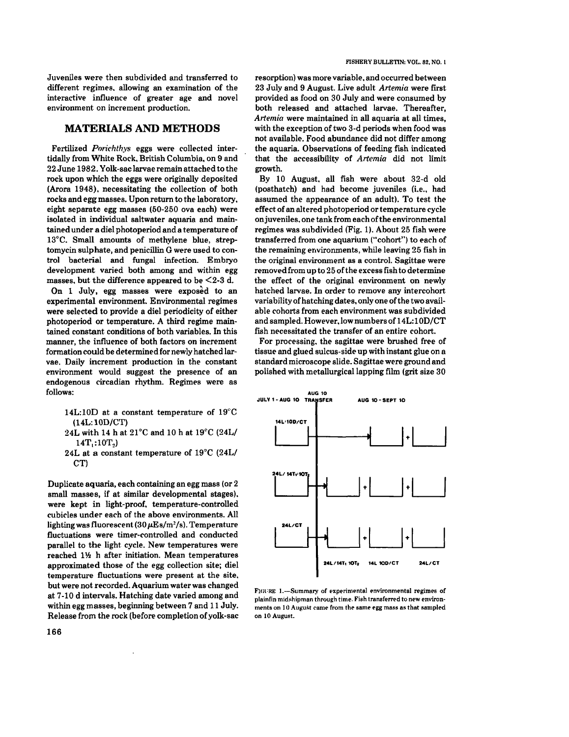#### **MATERIALS AND METHODS**

Fertilized *Porichthys* eggs were collected intertidally from White Rock. British Columbia. on 9 and 22 June 1982. Yolk-sac larvae remain attached to the rock upon which the eggs were originally deposited (Arora 1948). necessitating the collection of both rocks and egg masses. Upon return to *the* laboratory. eight separate egg masses (50-250 ova each) were isolated in individual saltwater aquaria and maintained under a dieI photoperiod and a temperature of 13°C. Small amounts of methylene blue, streptomycin sulphate, and penicillin G were used to control bacterial and fungal infection. Embryo development varied both among and within egg masses, but the difference appeared to be  $\leq$ 2-3 d. On 1 July, egg masses were exposed to an experimental environment. Environmental regimes were selected to provide a diel periodicity of either photoperiod or temperature. A third regime maintained constant conditions of both variables. In this manner, the influence of both factors on increment formation could be determined for newly hatched larvae. Daily increment production in the constant environment would suggest the presence of an endogenous circadian rhythm. Regimes were as follows: And the state of the state of the state of the state of the state of the state of the state of the state of the state of the state of the state of the state of the state of the state of the state of the state of t

- 14L:I0D at a constant temperature of 19"C (14L: 10D/CT)
- 24L with 14 h at 21°C and 10 h at 19°C (24L/ 14T.:10T.)
- 24L at a constant temperature of 19°C (24L/  $CT$

Duplicate aquaria, each containing an egg mass (or 2 small masses, if at similar developmental stages). were kept in light-proof. temperature-controlled cubicles under each of the above environments. All lighting was fluorescent (30  $\mu \mathrm{Es/m^2/s}$ ). Temperature fluctuations were timer-controlled and conducted parallel to the light cycle. New temperatures were reached 11/2 h after initiation. Mean temperatures approximated those of the egg collection site; diel temperature fluctuations were present at the site. but were not recorded. Aquarium water was changed at 7-10 d intervals. Hatching *date* varied among and within egg masses, beginning between 7 and 11 July. Release from the rock (before completion of yolk-sac resorption) was more variable. and occurred between 23 July and 9 August. Live adult *Artemia* were first provided as food on 30 July and were consumed by both released and attached larvae. Thereafter, *Artemia* were maintained in all aquaria at all times, with the exception of two 3-d periods when food was not available. Food abundance did not differ among the aquaria. Observations of feeding fish indicated that the accessibility of *Artemia* did not limit growth.

By 10 August. all fish were about 32-d old (posthatch) and had become juveniles (i.e., had assumed *the* appearance of an adult). To test the effect of an altered photoperiod ortemperature cycle on juveniles, one tank from each of the environmental regimes was subdivided (Fig. 1). About 25 fish were transferred from one aquarium ("cohort") to *each* of the remaining environments, while leaving 25 fish in the original environment as a control. Sagittae were removed from up to 25 of the excess fish to determine the effect of the original environment on newly hatched larvae. In order to remove any intercohort variability of hatching dates, only one of the two available cohorts from each environment was subdivided and sampled. However. low numbers of 14L:10D/CT fish necessitated *the* transfer of an entire cohort.

For processing. the sagittae were brushed free of tissue and glued sulcus-side up with instant glue on a standard microscope slide. Sagittae were ground and polished with metallurgical lapping film (grit size 30



FIGURE 1.-Summary of experimental environmental regimes of plainfin midshipman through time. Fish transferred to new environments on 10 August came from the same egg mass as that sampled on 10 August.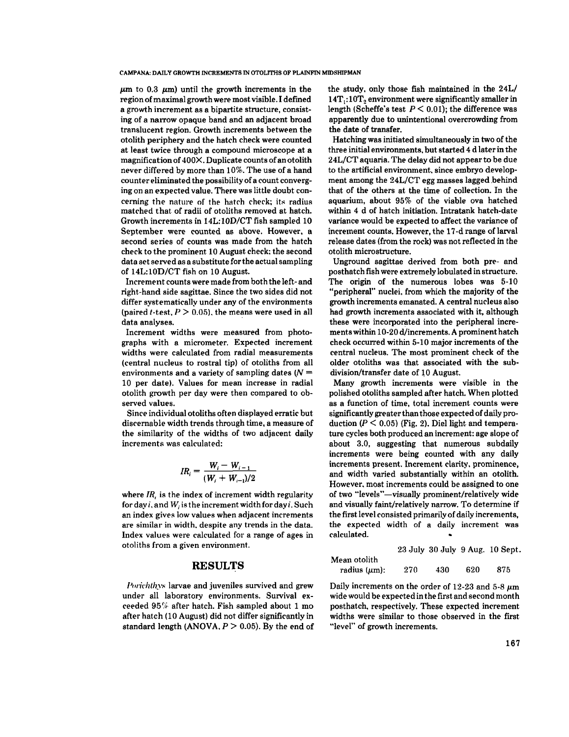$\mu$ m to 0.3  $\mu$ m) until the growth increments in the region of maximal growth were most visible. I defined a growth increment as a bipartite structure, consisting of a narrow opaque band and an adjacent broad translucent region. Growth increments between the otolith periphery and the hatch check were counted at least twice through a compound microscope at a magnification of  $400X$ . Duplicate counts of an otolith never differed by more than 10%. The use of a hand counter eliminated the possibility of a count converging on an expected value. There was little doubt concerning the nature of the hatch check; its radius matched that of radii of otoliths removed at hatch. Growth increments in 14L:lOD/CT fish sampled 10 September were counted as above. However, a second series of counts was made from the hatch check to the prominent 10 August check; the second data *set*served as a substitute for the actualsampling of 14L;10D/CT fish on 10 August.

Increment counts were made from both the left- and right-hand side sagittae. Since the two sides did not differ systematically under any of the environments (paired *t*-test.  $P > 0.05$ ), the means were used in all data analyses. .

Increment widths were measured from photographs with a micrometer. Expected increment widths were calculated from radial measurements (central nucleus to rostral tip) of otoliths from all environments and a variety of sampling dates ( $N =$ 10 per date). Values for mean increase in radial otolith growth per day were then compared to observed values.

Since individual otoliths often displayed erratic but discernable width trends through time, a measure of the similarity of the widths of two adjacent daily increments was calculated:

$$
IR_i = \frac{W_i - W_{i-1}}{(W_i + W_{i-1})/2}
$$

where  $IR$ , is the index of increment width regularity for day *i*, and *W<sub>i</sub>* is the increment width for day *i*. Such an index gives low values when adjacent inrrements are similar in width, despite any trends in *the* data. Index values *were* calculated for a range of ages in otoliths from a given environment.

# **RESULTS** M

Porichthys larvae and juveniles survived and grew under all laboratory environments. Survival ex*reeded* 95% after hatch. Fish sampled about 1 mo after hatch (10 August) did not differ significantly in standard length (ANOVA,  $P > 0.05$ ). By the end of the study, only those fish maintained in the 24L/  $14T$ :  $10T$ , environment were significantly smaller in length (Scheffe's test  $P < 0.01$ ); the difference was apparently due to unintentional overcrowding from the date of transfer.

Hatching was initiated simultaneously in two of the three initial environments, butstarted 4 d laterin *the* 24L/CT aquaria. The delay did not appear to be due to the artificial environment, since embryo development among the 24L/CT egg masses lagged .behind that of the others at the time of collertion. **In** the aquarium, about 95% of the viable ova hatched within 4 d of hatch initiation. Intratank hatch-date variance would be expected to affect the variance of increment counts. However, the 17-d range of larval release dates (from the rock) was not reflected in the otolith microstructure.

Unground sagittae derived from both pre- and posthatch fish were extremely lobulated in structure. The origin of the numerous lobes was 5-10 "peripheral" nuclei, from which the majority of the growth increments emanated. A central nueleus also had growth increments associated with it, although these were incorporated into the peripheral increments within 10-20 d/increments. A prominenthatch check occurred within 5-10 major increments of the central nucleus. The most prominent check of the older otoliths was that associated with the subdivision/transfer date of 10 August.

Many growth increments were visible in the polished otoliths sampled after hatch. When plotted as a function of time, total inrrement rounts were significantly greater than those expected of daily production ( $P \le 0.05$ ) (Fig. 2). Diel light and temperature cyeles both produced an increment: age slope of about 3.0, suggesting that numerous subdaily increments were being counted with any daily increments present. Increment darity, prominence, and width varied substantially within an otolith. However. most inrrements could *be* assigned to one of two "levels"-visually prominent/relatively wide and visually faint/relatively narrow. To determine if the first level consisted primarily of daily increments, the expected width of a daily increment was calculated.

|                    |     |     |     | 23 July 30 July 9 Aug. 10 Sept. |
|--------------------|-----|-----|-----|---------------------------------|
| Iean otolith       |     |     |     |                                 |
| radius $(\mu m)$ : | 270 | 430 | 620 | 875                             |

Daily increments on the order of 12-23 and 5-8  $\mu$ m wide would be experted in the first and second month posthatch. respertively. These expected increment widths were similar to those observed in the first "level" of growth increments.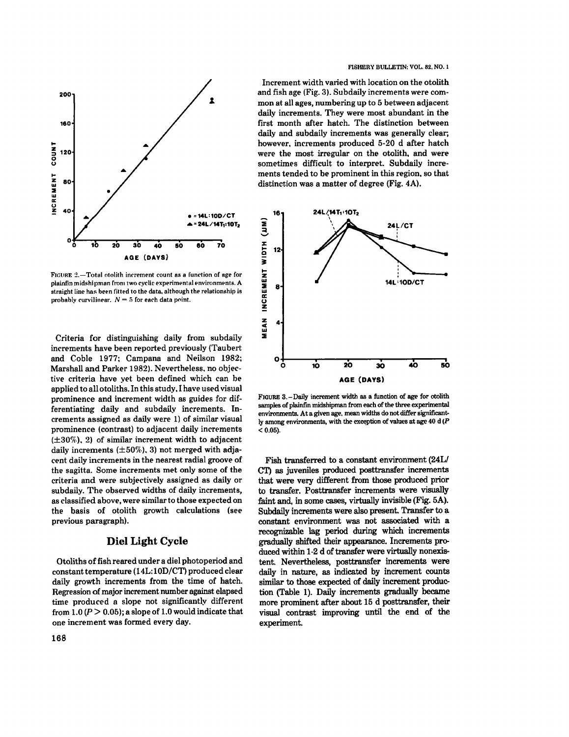

FIGURE 2.-Total otolith increment count as a function of age for plainfin midshipman from two *cyclic* experimental environments. A straight line has been fitted to the data, although the relationship is probably curvilinear.  $N = 5$  for each data point.

Criteria for distinguishing daily from subdaily increments have been reported previously (Taubert and Coble 1977; Campana and Neilson 1982; Marshall and Parker 1982). Nevertheless. no objective criteria have *yet been* defined which can *be* applied to all otoliths. In this study. I have used visual prominence and increment width as guides for differentiating daily and subdaily increments. Increments assigned as daily were 1) of similar visual prominence (contrast) to adjacent daily increments (±30%). 2) of similar increment width to adjacent daily increments  $(\pm 50\%)$ , 3) not merged with adja*cent* daily increments in the nearest radial groove of the sagitta. Some increments *met* only some of the criteria and were subjectively assigned as daily or subdaily. The observed widths of daily increments, as classified above, were similarto those expected on the basis of otolith growth calculations *(see* previous paragraph).

## Diel Light Cycle

Otoliths of fish reared under a diel photoperiod and constant temperature (14L: 10D/CT) produced clear daily growth increments from the time of hatch. Regression of major increment number against elapsed time produced a slope not significantly different from  $1.0 (P > 0.05)$ ; a slope of 1.0 would indicate that one increment was formed every day.

Increment width varied with location on the otolith and fish age (Fig. 3). Subdaily increments were common at all ages, numbering up to 5 between adjacent daily increments. They were most abundant in the first month after hatch. The distinction between daily and subdaily increments was generally clear; however. increments produced 5-20 d after hatch were *the* most irregular on the otolith. and were sometimes difficult to interpret. Subdaily increments tended to be prominent in this region. so that distinction was a matter of degree (Fig. 4A).



FIGURE 3.-Daily increment width as a function of age for otolith samples of plainfin midshipman from each of the three experimental environments. At a given age. mean widths do not differ significantly among environments, with the exception of values at age 40 d (P  $< 0.05$ ).

Fish transferred to a constant environment (24L/ CT) as juveniles produced posttransfer increments that were very different from those produced prior to transfer. Posttransfer increments were visually faint and, in some cases, virtuaIly invisible (Fig. 5A). Subdaily increments were also present. Transfer to a constant environment was not associated with a recognizable lag period during which increments gradually shifted their appearance. Increments produced within 1-2 d of transfer were virtually nonexistent. Nevertheless, posttransfer increments were daily in nature, as indicated by increment counts similar to those expected of daily increment production (Table 1). Daily increments gradually became more prominent after about 15 d posttransfer, their visual contrast improving until the end of the experiment.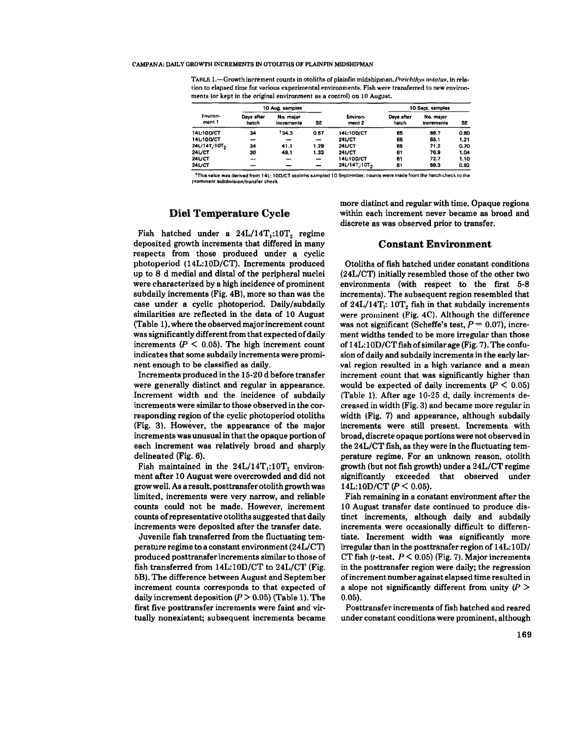TABLE 1.—Growth increment counts in otoliths of plainfin midshipman. *Porichthys notatus*, in relation to elapsed time for various experimental environments. Fish were transferred to new environments (or kept in the original environment as a control) on 10 August.

| Fnviron<br>ment 1        | 10 Aug. samples     |                         |                          |                          | 10 Sept. samples    |                         |      |
|--------------------------|---------------------|-------------------------|--------------------------|--------------------------|---------------------|-------------------------|------|
|                          | Davs after<br>hatch | No. major<br>increments | SE                       | Environ-<br>ment 2       | Days after<br>hatch | No. major<br>increments | SE   |
| <b>14L10D/CT</b>         | 34                  | 134.3                   | 0.57                     | 14L10D/CT                | 65                  | 66.7                    | 0.80 |
| 14L10D/CT                | -                   |                         | -                        | 24L/CT                   | 65                  | 65.1                    | 1.21 |
| 24L/14T.10T <sub>2</sub> | 34                  | 41.1                    | 1.29                     | 24L/CT                   | 65                  | 71.2                    | 0.70 |
| $24$ L/CT                | 30                  | 49.1                    | 1.33                     | $24$ L/CT                | 61                  | 76.9                    | 1.04 |
| <b>24L/CT</b>            | -                   | -                       | $\overline{\phantom{0}}$ | <b>14L10D/CT</b>         | 61                  | 72.7                    | 1.10 |
| <b>24L/CT</b>            |                     |                         |                          | 24L/14T:10T <sub>2</sub> | 61                  | 69.3                    | 0.92 |

.<br>This value was derived from 14L: 10D/CT otoliths sampled 10 September; counts were made from the hatch check to the **prominent subdiviSion/transfer chE."ck**

### **Diel Temperature Cycle**

Fish hatched under a  $24L/14T$ .:10T, regime deposited growth increments that differed in many respects from those produced under a cyclic photoperiod (l4L:I0D/CT). Increments produced up to 8 d medial and distal of the peripheral nuclei were characterized by a high incidence of prominent subdaily increments (Fig. 4B), more so than was the case under a cyclic photoperiod. Daily/subdaily similarities are reflected in the data of 10 August (Table 1). where the observed majorincrement count was significantly different from that expected of daily increments  $(P \leq 0.05)$ . The high increment count indicates that some subdaily increments were prominent enough to be classified as daily.

Increments produced in the 15-20 d before transfer were generally distinct and regular in appearance. Increment width and the incidence of subdaily increments were similar to those observed in the corresponding region of the cyclic photoperiod otoliths (Fig. 3). However, the appearance of the major increments was unusual in that the opaque portion of each increment was relatively broad and sharply delineated (Fig. 6).

Fish maintained in the  $24L/14T$ ,:10T<sub>2</sub> environment after 10 August were overcrowded and did not grow well. As a result. posttransfer otolith growth was limited, increments were very narrow, and reliable counts could not be made. However, increment counts of representative otoliths suggested that daily increments were deposited after the transfer date.

Juvenile fish transferred from the fluctuating temperature regime to a constant environment(24L/CT) produced posttransferincrements similarto those of fish transferred from 14L:I0D/CT to 24L/CT (Fig. 5B). The difference between August and September increment counts corresponds to that expected of daily increment deposition *(P>* 0.05) (Table 1). The first five posttransfer increments were faint and virtually nonexistent; subsequent increments became more distinct and regular with time. Opaque regions within each increment never became as broad and discrete as was observed prior to transfer.

#### **Constant Environment**

Otoliths of fish hatched under constant conditions (24L/CT) initially resembled those of the other two environments (with respect to the first 5-8 increments). The subsequent region resembled that of  $24L/14T$ .: 10T, fish in that subdaily increments were prominent (Fig. 4C). Although the difference was not significant (Scheffe's test,  $P = 0.07$ ), increment widths tended to be more irregular than those of  $14L:10D/CT$  fish of similar age (Fig. 7). The confusion of daily and subdaily increments in the early larval region resulted in a high variance and a mean increment count that was significantly higher than would be expected of daily increments  $(P \le 0.05)$ (Table 1). After age 10-25 d, daily increments decreased in width (Fig. 3) and became more regular in width (Fig. 7) and appearance, although subdaily increments were still present. Increments with broad, discrete opaque portions were not observed in the 24L/CT fish, as they were in the fluctuating *tem*perature regime. For an unknown reason. otolith growth (but not fish growth) under a 24L/CT regime significantly exceeded that observed under 14L:10D/CT  $(P < 0.05)$ .

Fish remaining in a constant environment after the 10 August transfer date continued to produce distinct increments, although daily and subdaily increments were occasionally difficult to differentiate. Increment width was significantly more irregular than in the posttransfer region of  $14L:10D/$ CT fish ( $t$ -test.  $P < 0.05$ ) (Fig. 7). Major increments in the posttransfer region were daily; the regression ofincrement. number against elapsed time resulted in a slope not significantly different from unity (P *>* 0.05).

Posttransfer increments of fish hatched and reared under constant conditions were prominent. although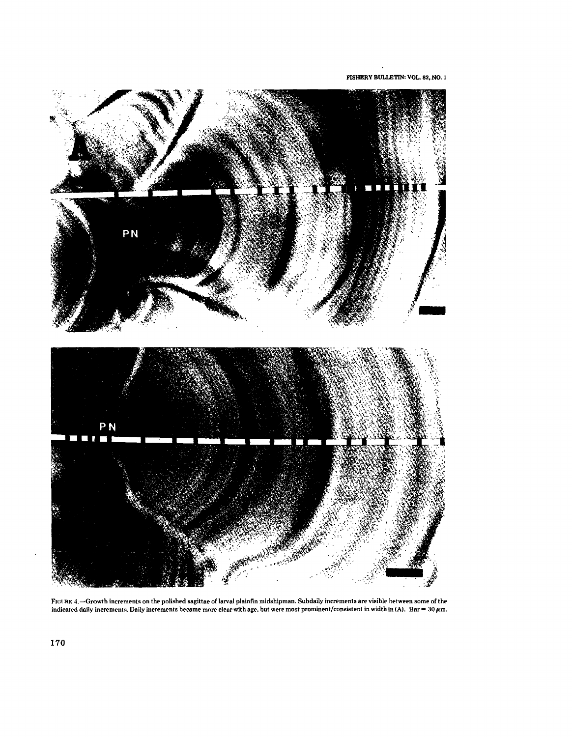FISHERY BULLETIN: VOL. 82, NO. 1



FIGURE 4.—Growth increments on the polished sagittae of larval plainfin midshipman. Subdaily increments are visible between some of the indicated daily increments. Daily increments became more clear with age, but were mos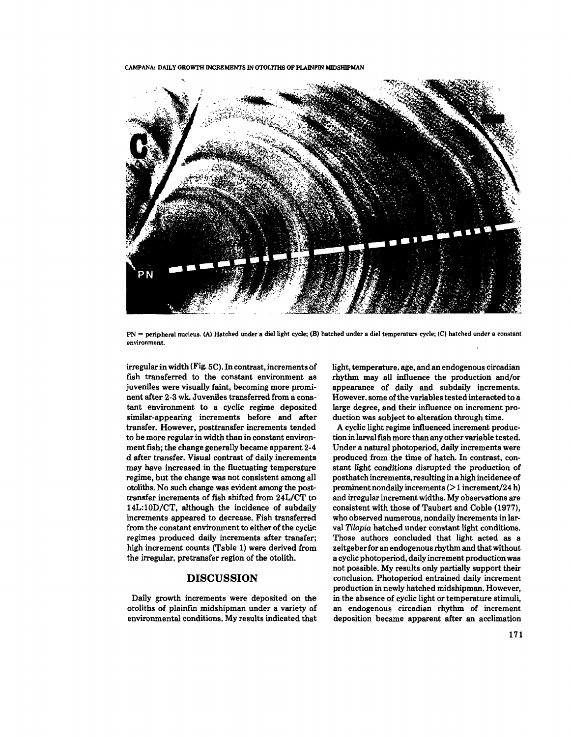

PN = peripheral nucleus. (A) Hatched under a diel light cycle; (B) hatched under a diel temperature cycle; (C) hatched under a constant environment.

irregularin width (Fig. 5C). In contrast, increments of fish transferred to the constant environment as juveniles were visually faint, becoming more prominent after 2-3 wk. Juveniles transferred from a constant environment to a cyclic *regime* deposited similar-appearing increments before and after transfer. However, posttransfer increments tended to be more regular in width than in constant environment fish; the change generally became apparent 2-4 d after transfer. Visual contrast of daily increments may have increased in the fluctuating temperature regime, but the change was not consistent among all otoliths. No such change was evident among the posttransfer increments of fish shifted from 24L/CT to 14L:10D/CT, although the incidence of subdaily increments appeared to decrease. Fish transferred from the constant environment to either of the cyclic regimes produced daily increments after transfer; high increment counts (Table 1) were derived from the irregular. pretransfer region of the otolith.

## **DISCUSSION**

Daily growth increments were deposited on the otoliths of plainfin midshipman under a variety of environmental conditions. My results indicated that light, temperature. age, and an endogenous circadian rhythm may all influence the production and/or appearance of daily and subdaily increments. However, some of the variables tested interacted to a large degree, and their influence on increment production was subject to alteration through time.

A cyclic light regime influenced increment production in larvalfish more than any other variable *tested.* Under a natural photoperiod, daily increments were produced from the time of hatch. In contrast. constant light conditions disrupted the production of posthatch increments,resulting in a high incidence of prominent nondaily increments  $($  > 1 increment/24 h) and irregular increment widths. My observations are consistent with those of Taubert and Coble (1977), who observed numerous, nondaily increments in larval *Tilapia* hatched under constant light conditions. Those authors concluded that light acted as a zeitgeberfor an endogenousrhythm and that without a cyclic photoperiod, daily increment production was not possible. My results only partially support their conclusion. Photoperiod entrained daily increment production in newly hatched midshipman. However, in the absence of cyclic light or temperature stimuli, an endogenous circadian rhythm of increment deposition became apparent after an acclimation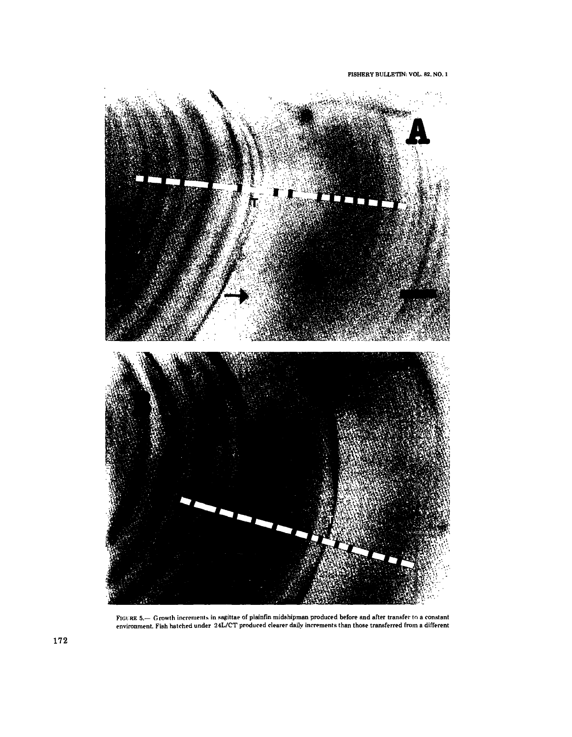

FIGURE 5.— Growth increments in sagittae of plainfin midshipman produced before and after transfer to a constant<br>environment. Fish hatched under 24L/CT produced clearer daily increments than those transferred from a differ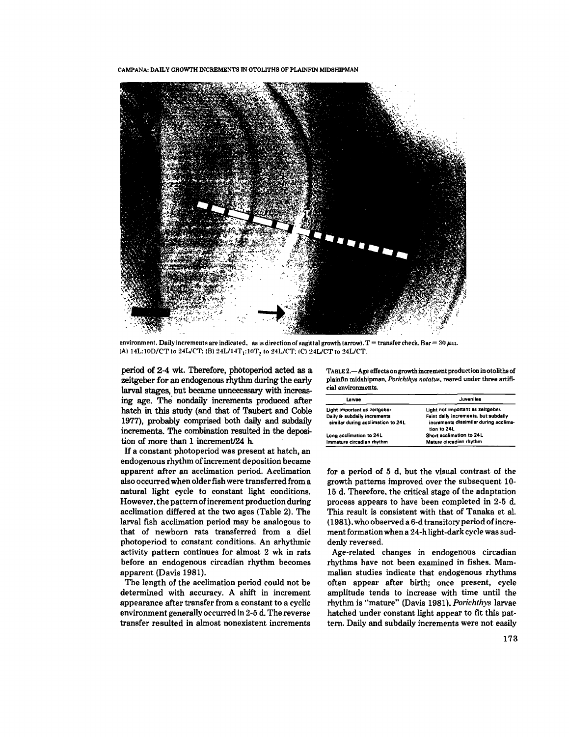

environment. Daily increments are indicated, as is direction of sagittal growth (arrow). T = transfer check. Bar = 30  $\mu_{\rm II}$ . (A) 14L:10D/CT to 24L/CT; (B) 24L/14T<sub>1</sub>:10T<sub>2</sub> to 24L/CT; (C) 24L/CT to 24L/CT.

period of 2-4 wk. Therefore, photoperiod acted as a zeitgeber for an endogenous rhythm during the early larval stages, but became unnecessary with increasing age. The nondaily increments produced after hatch in this study (and that of Taubert and Coble 1977), probably comprised both daily and subdaily increments. The combination resulted in the deposition of more than 1 increment/24 h.

If a constant photoperiod was present at hatch, an endogenous rhythm of increment deposition became apparent after an acclimation period. Acclimation also occurred when older fish were transferred from a natural light cycle to constant light conditions. However. the pattern ofincrement production during acclimation differed at the two ages (Table 2). The larval fish acclimation period may be analogous to that of newborn rats transferred from a dieI photoperiod to constant conditions. An arhythmic activity pattern continues for almost 2 wk in rats before an endogenous circadian rhythm becomes apparent (Davis 1981).

The length of the acclimation period could not be determined with accuracy. A shift in increment appearance after transfer from a constant to a cyclic environment generally occurred in 2-5 d. The reverse transfer resulted in almost nonexistent increments TABLE 2.- Age effects on growth increment production in otoliths of plainfin midshipman, *Porichth.vs notatus,* reared under *three* artificial environments.

| Larvae                                                           | Juveniles                                                                                    |  |  |
|------------------------------------------------------------------|----------------------------------------------------------------------------------------------|--|--|
| Light important as zeitgeber                                     | Light not important as zeitgeber.                                                            |  |  |
| Daily & subdaily increments<br>similar during acclimation to 24L | Faint daily increments, but subdaily<br>increments dissimilar during acclima-<br>tion to 24L |  |  |
| Long acclimation to 24L                                          | Short acclimation to 24L                                                                     |  |  |
| Immature circadian rhythm                                        | Mature circadian rhythm                                                                      |  |  |

for a period of 5 d. but the visual contrast of the growth patterns improved over the subsequent 10- 15 d. Therefore. the critical stage of the adaptation process appears to have been completed in 2-5 d. This result is consistent with that of Tanaka et al. (1981). who observed a 6-d transitory period ofincrement formation when a 24-h light-dark cycle was suddenly reversed.

Age-related changes in endogenous circadian rhythms have not been examined in fishes. Mammalian studies indicate that endogenous rhythms often appear after birth; once present, cycle amplitude tends to increase with time until the rhythm is "mature" (Davis 1981). *Porichthys* larvae hatched under constant light appear to fit this pat*tern.* Daily and subdaily increments were not easily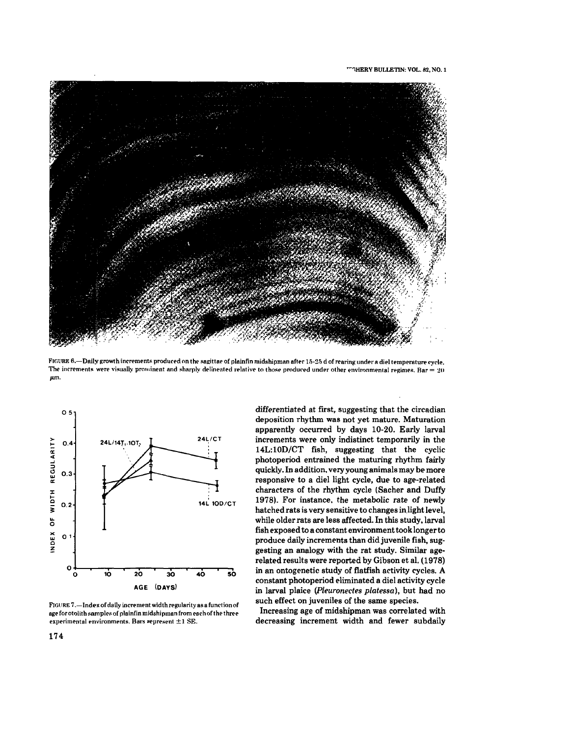

FIGURE 6.-Daily growth increments produced on the sagittae of plainfin midshipman after 15-25 d of rearing under a diel temperature cycle. The increments were visually prominent and sharply delineated relative to those produced under other environmental regimes. Bar = 20 p.m.



FIGURE  $7$ .  $-$  Index of daily increment width regularity as a function of age for otolith samples of plainfin midshipman from each of the three experimental environments. Bars  $*$ epresent  $\pm 1$  SE.

differentiated at first, suggesting that the circadian deposition rhythm was not yet mature. Maturation apparently occurred by days 10-20. Early larval increments were only indistinct temporarily in the 14L:10D/CT fish, suggesting that the cyclic photoperiod entrained the maturing rhythm fairly quickly. In addition. very young animals may be more responsive to a diel light cycle, due to age-related characters of the rhythm cycle (Sacher and Duffy 1978). For instance. the metabolic rate of newly hatched rats is very sensitive to changes in light level, while older rats are less affected. In this study. larval fish exposed to a constant environment took longer to produce daily increments than did juvenile fish, suggesting an analogy with the rat study. Similar agerelated results were reported by Gibson et al. (1978) in an ontogenetic study of flatfish activity cycles. A constant photoperiod eliminated a dieI activity cycle in larval plaice *(Pleuronectes platessa),* but had no such effect on juveniles of the same species.

Increasing age of midshipman was correlated with decreasing increment width and fewer subdaily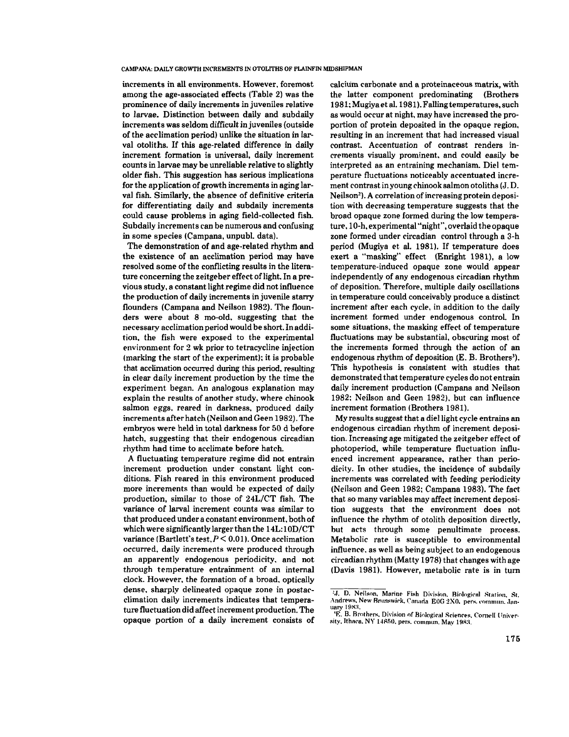increments in all environments. However, foremost among the age-associated effects (Table 2) was the prominence of daily increments in juveniles relative to larvae. Distinction between daily and subdaily increments was seldom difficult in juveniles (outside of the acelimation period) unlike the situation in larval otoliths. If this age-related difference in daily increment formation is universal, daily increment counts in larvae may be unreliable relative to slightly older fish. This suggestion has serious implications for the application of growth increments in aging larval fish. Similarly, the absence of definitive criteria for differentiating daily and subdaily increments could cause problems in aging field-collected fish. Subdaily increments can be numerous and confusing in some species (Campana, unpubl. data).

The demonstration of and age-related rhythm and the existence of an acclimation period may have resolved some of the conflicting results in the literature concerning the zeitgeber effect of light. In a previous study, a constant light regime did not influence the production of daily increments in juvenile starry flounders (Campana and Neilson 1982). The flounders were about 8 mo-old. suggesting that the necessary acclimation period would be short. In addition, the fish were exposed to the experimental environment for 2 wk prior to tetracycline injection (marking the start of the experiment); it is probable that acclimation occurred during this period, resulting in clear daily increment production by the time the experiment began. An analogous explanation may explain the results of another study, where chinook salmon eggs, reared in darkness, produced daily increments after hatch (Neilson and Geen 1982). The embryos *were* held in total darkness for 50 d before hatch, suggesting that their endogenous circadian rhythm had time to acclimate before hatch.

A fluctuating temperature regime did not entrain increment production under constant light conditions. Fish reared in this environment produced more increments than would be expected of daily production, similar to those of 24L/CT fish. The variance of larval increment counts was similar to that produced under a constant environment, both of which were significantly larger than the 14L:1OD/CT variance (Bartlett's test,  $P < 0.01$ ). Once acclimation *occurred,* daily increments *were* produced through an apparently endogenous periodicity, and not through temperature entrainment of an internal clock. However, the formation of a broad, optically dense, sharply delineated opaque zone in postacdimation daily increments indicates that temperature fluctuation did affect increment production. The opaque portion of a daily increment consists of calcium carbonate and a proteinaceous matrix, with the latter component predominating (Brothers 1981; Mugiya et al. 1981). Falling temperatures,such as would occur at night. may have increased the proportion of protein deposited in the opaque region. resulting in an increment that had increased visual contrast. Accentuation of contrast renders increments visually prominent. and could easily be interpreted as an entraining mechanism. Diel temperature fluctuations noticeably accentuated increment contrast in young chinook salmon otoliths (J. D. Neilson<sup>2</sup>). A correlation of increasing protein deposition with decreasing temperature suggests that the broad opaque zone formed during the low temperature,1O-h, experimental "night", overlaid the opaque zone formed under circadian control through a 3-h period (Mugiya et al. 1981). If temperature does exert a "masking" effect (Enright 1981), a low temperature-induced opaque zone would appear independently of any endogenous circadian rhythm of deposition. Therefore, multiple daily oscillations in temperature could conceivably produce a distinct increment after each cycle. in addition to the daily increment formed under endogenous control. In some situations, the masking effect of temperature fluctuations may be substantial, obscuring most of the increments formed through the action of an endogenous rhythm of deposition (E. B. Brothers). This hypothesis is consistent with studies that demonstrated that temperature cycles do not entrain daily increment production (Campana and Neilson 1982; Neilson and Geen 1982), but can influence increment formation (Brothers 1981).

My results suggest that a diellight cycle entrains an endogenous circadian rhythm of increment deposition. Increasing age mitigated the zeitgeber effect of photoperiod, while temperature fluctuation influenced increment appearance, rather than periodicity. In other studies, the incidence of subdaily increments was correlated with feeding periodicity (Neilson and Geen 1982; Campana 1983). The fact that so many variables may affect increment deposition suggests that the environment does not influence the rhythm of otolith deposition directly, but acts through some penultimate process. Metabolic rate is susceptible to environmental influence. as well as being subject to an endogenous circadian rhythm (Matty 1978) that changes with age (Davis 1981). However, metabolic rate is in turn

<sup>&#</sup>x27;J. D. Neilson, Marine Fish Division, Biological Station, St. Andrews, New Brunswick. Canada E0G 2X0, pers. commun. Jan-uary 1983.

<sup>&#</sup>x27;E. B. Brothers. Division of Biological Sciences, Cornell University, Ithaca, NY 14850, pers. commun. May 1983.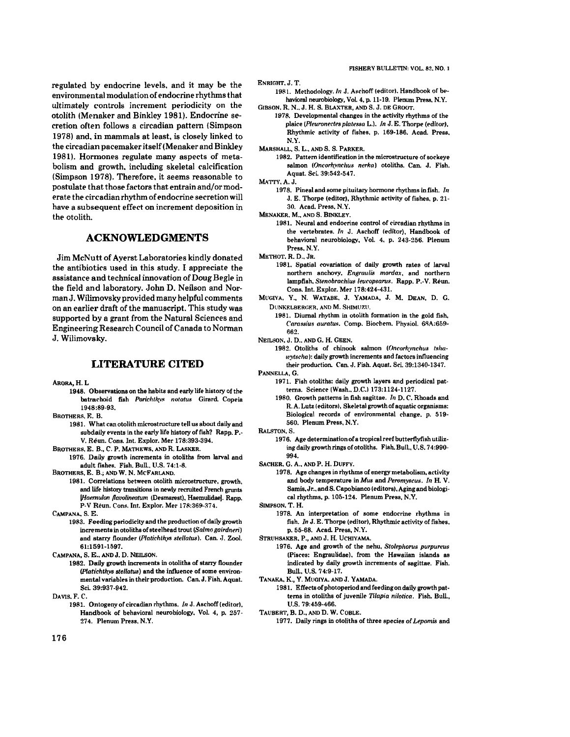regulated by endocrine levels. and it may be the environmental modulation of endocrine rhythmsthat ultimately controls increment periodicity on the otolith (Menaker and Binkley 1981). Endocrine secretion often follows a circadian pattern (Simpson 1978) and. in mammals at least. is closely linked to the circadian pacemakeritself(Menaker and Binkley 1981). Hormones regulate many aspects of metabolism and growth. including skeletal calcification (Simpson 1978). Therefore. it seems reasonable to postulate that those factors that entrain and/or moderate the circadian rhythm ofendocrine secretion will have a subsequent effect on increment deposition in the otolith.

## **ACKNOWLEDGMENTS**

Jim McNutt of Ayerst Laboratories kindly donated the antibiotics used in this study. I appreciate the assistance and technical innovation of Doug Begle in the field and laboratory..John D. Neilson and Norman J. Wilimovsky provided many helpful comments on an earlier draft of the manuscript. This study was supported by a grant from the Natural Sciences and EngineeringResearch Council of Canada to Norman J. Wilimovsky.

#### **LITERATURE CITED**

- ARORA, H.L.
	- 1948. Observations on the habits and early life history of the batraehoid fish Poriehth.v~ *no/a/us* Girard. Coppia 1948:89-93.
- BROTHERS. R. B.
- 1981. What can otolith microstructure tell us about daily and subdaily events in the early life history of fish? Rapp. P.-V. Reun. Cons. Int. Explor. Mer 178:393-394.
- BROTHERS. E. 8., C. P. MATHEWS. AND R. LASKER.
- 1976. Daily growth increments in otoliths from larval and adult fishes. Fish. Bull., U.S. 74:1-8.

BROTHERS. E. B.; AND W. N. McFARLAND.

1981. Correlations between otolith microstructure, growth, and life history transitions in newly recruited French grunts *lHaemulon flavolineatum* (Desmarest). Haemulidae]. Rapp. P-V Reun. Cons. Int. Explor. Mer 178:369-374.

CAMPANA. S. E.

1983. Feeding periodicity and the production of daily growth increments in otoliths of steelhead trout *(Salmo gairdneri)* and starry flounder (Platichthys stellatus). Can. J. Zool. 61:1591-1597.

CAMPANA, S. E., AND J. D. NEILSON.

- 1982. Daily growth increments in otoliths of starry flounder *(Platichthys stellatus)* and the influence of some environmental variables in their production. Can. J. Fish. Aquat. Sci. 39:937-942.
- DAVIS. F. C.
	- 1981. Ontogeny of circadian rhythms. *In* J. Aschoff (editor), Handbook of behavioral neurobiology. Vol. 4, p. 257-274. Plenum Press, N.Y.

ENRIGHT. J. T.

- 1981. Methodology. In J. Aschoff (editor). Handbook of behavioral neurobiology, Vol. 4, p. 11-19. Plenum Press, N.Y. GIBSON. R. N.. J. H. S. BLAXTER, AND S. J. DE GROOT.
	- 1978. Developmental changes in the activity rhythms of the plaice (Pleuronectes platessa L.). *In* J. E. Thorpe (editor). Rhythmie activity of fishes. p. 169-186. Acad. Press. N.Y.

1982. Pattern identification in the microstructure of sockeye salmon *(Oneorhynehus nerka)* otoliths. Can.•J. Fish. Aquat. Sei. 39:542-547.

MATTY.A.J.

1978. Pinpal and some pituitary hormone rhythms in fish. *In* J. E. Thorpe (editor). Rhythmic activity of fishes. p. 21-30. Acad. Press. N.Y.

MENAKER. M.. AND S. BINKLEY.

1981. Neural and endocrine control of circadian rhythms in the vprtebrates. *In* J. Asehoff (editor). Handbook of behavioral neurobiology, Vol. 4, p. 243-256. Plenum Press. N.Y.

METHOT. R. D.. JR.

- 1981. Spatial rovariation of daily growth rates of larval northern anchovy. *Engraulis mordax*, and northern lampfish. Stenobrachius leucopsarus. Rapp. P.-V. Reun. Cons. Int. Explor. Mer 178:424-431.
- MUGIYA. Y.• N. WATABE. J. YAMADA, J. M. DEAN. D. G. DUNKELBERGER, AND M. SHIMUZU.
	- 1981. Diurnal rhythm in otolith formation in the gold fish. *Carassius auratus.* Comp. Biochem. Physiol. 68A:659-662.
- NEILSON. J. D.. AND G. H. GEEN.
	- 1982. Otoliths of chinook salmon *(Oncorhynchus tshawytscha*): daily growth increments and factors influencing their production. Can. J. Fish. Aquat. Sci. 39:1340-1347.
- PANNELLA. G.
	- 1971. Fish otoliths: daily growth layers and periodieal patterns. Science (Wash...D.C.) 173:1124-1127.
	- 1980. Growth patterns in fish sagittae. *In* D. C. Rhoads and R. A. Lutz (editors), Skeletal growth of aquatic organisms: Biological records of environmental change, p. 519-560. Plenum Press, N.Y.
- RALSTON. S.
	- 1976. Age determination of a tropical reef butterflyfish utilizing daily growth rings of otoliths. Fish. Bull., U.S. 74:990-994.
- SACHER. G. A., AND P. H. DUFFY.
	- 1978. Age changes in rhythms of energy metabolism, activity and body tempprature in *Mus* and *Peromyscus. In* H. V. Samis, Jr., and S. Capobianco (editors), Aging and biological rhythms. p. 105-124. Plenum Press. N.Y.

SIMPSON. T. H.

1978. An interpretation of some endocrine rhythms in fish. *In* J. E. Thorpe (editor), Rhythmic activity of fishes. p. 55-68. Acad. Press. N.Y.

- 1976. Age and growth of the nehu. *Stolephorus purpureus* (Pisces: Engraulidae). from the Hawaiian islands as indicated by daily growth increments of sagittae. Fish. Bull.. 1I.S. 74:9-17.
- TANAKA. K., Y. MlIGlYA. ANDJ. YAMADA.
	- 1981. Effects of photoperiod and feeding on daily growth patterns in otoliths of juvenile *Tilapia nilotica*. Fish. Bull., U.S. 79:459-466.

TALIBERT, B. D.. AND D. W. COBLE.

1977. Daily rings in otoliths of three species of Lepomis and

MARSHALL. S. L.. AND S. S. PARKER.

STRlIHSAKER. P., AND J. H. UCHIYAMA.